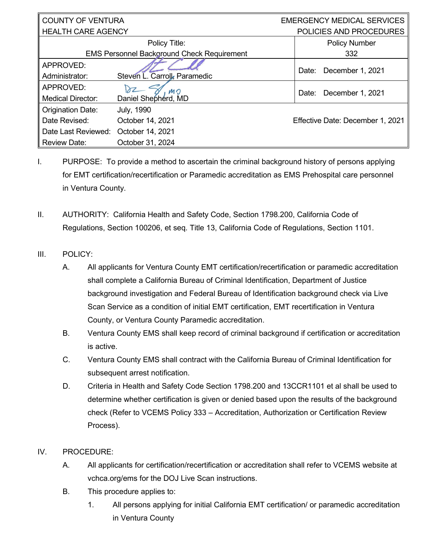| <b>COUNTY OF VENTURA</b>                          |                              | <b>EMERGENCY MEDICAL SERVICES</b> |
|---------------------------------------------------|------------------------------|-----------------------------------|
| <b>HEALTH CARE AGENCY</b>                         |                              | POLICIES AND PROCEDURES           |
|                                                   | Policy Title:                | <b>Policy Number</b>              |
| <b>EMS Personnel Background Check Requirement</b> |                              | 332                               |
| APPROVED:                                         |                              | December 1, 2021<br>Date:         |
| Administrator:                                    | Steven L. Carroll, Paramedic |                                   |
| APPROVED:                                         | MO                           | December 1, 2021<br>Date:         |
| <b>Medical Director:</b>                          | Daniel Shepherd, MD          |                                   |
| <b>Origination Date:</b>                          | <b>July, 1990</b>            |                                   |
| Date Revised:                                     | October 14, 2021             | Effective Date: December 1, 2021  |
| Date Last Reviewed:                               | October 14, 2021             |                                   |
| <b>Review Date:</b>                               | October 31, 2024             |                                   |

- I. PURPOSE: To provide a method to ascertain the criminal background history of persons applying for EMT certification/recertification or Paramedic accreditation as EMS Prehospital care personnel in Ventura County.
- II. AUTHORITY: California Health and Safety Code, Section 1798.200, California Code of Regulations, Section 100206, et seq. Title 13, California Code of Regulations, Section 1101.

## III. POLICY:

- A. All applicants for Ventura County EMT certification/recertification or paramedic accreditation shall complete a California Bureau of Criminal Identification, Department of Justice background investigation and Federal Bureau of Identification background check via Live Scan Service as a condition of initial EMT certification, EMT recertification in Ventura County, or Ventura County Paramedic accreditation.
- B. Ventura County EMS shall keep record of criminal background if certification or accreditation is active.
- C. Ventura County EMS shall contract with the California Bureau of Criminal Identification for subsequent arrest notification.
- D. Criteria in Health and Safety Code Section 1798.200 and 13CCR1101 et al shall be used to determine whether certification is given or denied based upon the results of the background check (Refer to VCEMS Policy 333 – Accreditation, Authorization or Certification Review Process).

## IV. PROCEDURE:

- A. All applicants for certification/recertification or accreditation shall refer to VCEMS website at vchca.org/ems for the DOJ Live Scan instructions.
- B. This procedure applies to:
	- 1. All persons applying for initial California EMT certification/ or paramedic accreditation in Ventura County